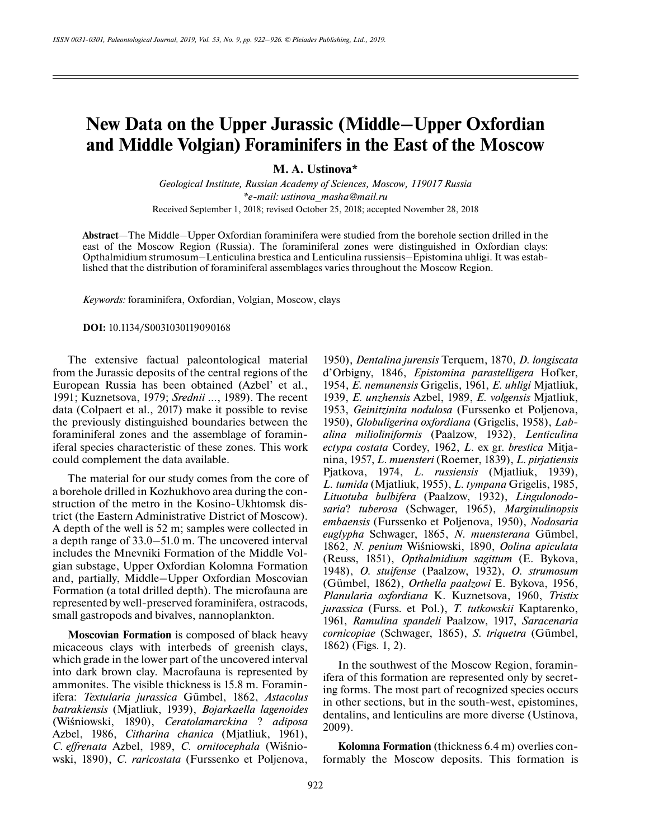# **New Data on the Upper Jurassic (Middle–Upper Oxfordian and Middle Volgian) Foraminifers in the East of the Moscow**

**M. A. Ustinova\***

*Geological Institute, Russian Academy of Sciences, Moscow, 119017 Russia \*e-mail: ustinova\_masha@mail.ru* Received September 1, 2018; revised October 25, 2018; accepted November 28, 2018

**Abstract**—The Middle–Upper Oxfordian foraminifera were studied from the borehole section drilled in the east of the Moscow Region (Russia). The foraminiferal zones were distinguished in Oxfordian clays: Opthalmidium strumosum–Lenticulina brestica and Lenticulina russiensis–Epistomina uhligi. It was established that the distribution of foraminiferal assemblages varies throughout the Moscow Region.

*Keywords:* foraminifera, Oxfordian, Volgian, Moscow, clays

**DOI:** 10.1134/S0031030119090168

The extensive factual paleontological material from the Jurassic deposits of the central regions of the European Russia has been obtained (Azbel' et al., 1991; Kuznetsova, 1979; *Srednii* …, 1989). The recent data (Colpaert et al., 2017) make it possible to revise the previously distinguished boundaries between the foraminiferal zones and the assemblage of foraminiferal species characteristic of these zones. This work could complement the data available.

The material for our study comes from the core of a borehole drilled in Kozhukhovo area during the construction of the metro in the Kosino-Ukhtomsk district (the Eastern Administrative District of Moscow). A depth of the well is 52 m; samples were collected in a depth range of 33.0–51.0 m. The uncovered interval includes the Mnevniki Formation of the Middle Volgian substage, Upper Oxfordian Kolomna Formation and, partially, Middle–Upper Oxfordian Moscovian Formation (a total drilled depth). The microfauna are represented by well-preserved foraminifera, ostracods, small gastropods and bivalves, nannoplankton.

**Moscovian Formation** is composed of black heavy micaceous clays with interbeds of greenish clays, which grade in the lower part of the uncovered interval into dark brown clay. Macrofauna is represented by ammonites. The visible thickness is 15.8 m. Foraminifera: *Textularia jurassica* Gümbel, 1862, *Astacolus batrakiensis* (Mjatliuk, 1939), *Bojarkaella lagenoides* (Wiśniowski, 1890), *Ceratolamarckina* ? *adiposa* Azbel, 1986, *Citharina chanica* (Mjatliuk, 1961), *C. effrenata* Azbel, 1989, *C. ornitocephala* (Wiśniowski, 1890), *C. raricostata* (Furssenko et Poljenova,

1950), *Dentalina jurensis* Terquem, 1870, *D. longiscata* d'Orbigny, 1846, *Epistomina parastelligera* Hofker, 1954, *E. nemunensis* Grigelis, 1961, *E. uhligi* Mjatliuk, 1939, *E. unzhensis* Azbel, 1989, *E. volgensis* Mjatliuk, 1953, *Geinitzinita nodulosa* (Furssenko et Poljenova, 1950), *Globuligerina oxfordiana* (Grigelis, 1958), *Labalina milioliniformis* (Paalzow, 1932), *Lenticulina ectypa costata* Cordey, 1962, *L*. ex gr. *brestica* Mitjanina, 1957, *L. muensteri* (Roemer, 1839), *L. pirjatiensis* Pjatkova, 1974, *L. russiensis* (Mjatliuk, 1939), *L. tumida* (Mjatliuk, 1955), *L. tympana* Grigelis, 1985, *Lituotuba bulbifera* (Paalzow, 1932), *Lingulonodosaria*? *tuberosa* (Schwager, 1965), *Marginulinopsis embaensis* (Furssenko et Poljenova, 1950), *Nodosaria euglypha* Schwager, 1865, *N. muensterana* Gümbel, 1862, *N. penium* Wiśniowski, 1890, *Oolina apiculata* (Reuss, 1851), *Opthalmidium sagittum* (E. Bykova, 1948), *O. stuifense* (Paalzow, 1932), *O. strumosum* (Gümbel, 1862), *Orthella paalzowi* E. Bykova, 1956, *Planularia oxfordiana* K. Kuznetsova, 1960, *Tristix jurassica* (Furss. et Pol.), *T. tutkowskii* Kaptarenko, 1961, *Ramulina spandeli* Paalzow, 1917, *Saracenaria cornicopiae* (Schwager, 1865), *S. triquetra* (Gümbel, 1862) (Figs. 1, 2).

In the southwest of the Moscow Region, foraminifera of this formation are represented only by secreting forms. The most part of recognized species occurs in other sections, but in the south-west, epistomines, dentalins, and lenticulins are more diverse (Ustinova, 2009).

**Kolomna Formation** (thickness 6.4 m) overlies conformably the Moscow deposits. This formation is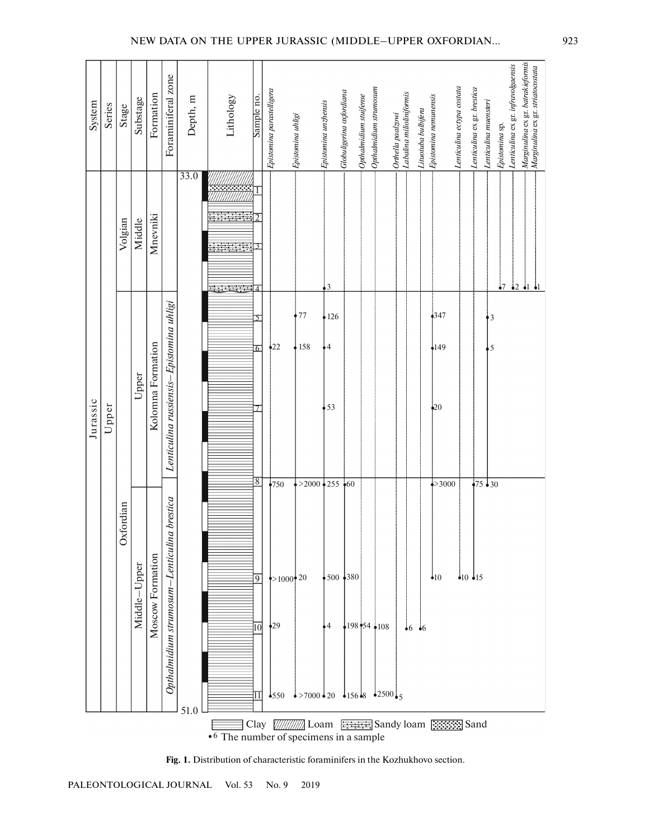| System   | Series | Stage              | Substage     | Formation         | Foraminiferal zone                             | Depth, m | Lithology | Sample no.                                   | Epistomina parastelligera                      | Epistomina uhligi                                                                                       | Epistomina unzhensis       | Globuligerina oxfordiana | Opthalmidium stuifense | Opthalmidium strumosum | Orthella paalzowi<br>Labalina milioliniformis | Lituotuba bulbifera | Epistomina nemunensis               | Lenticulina ectypa costata | Lenticulina ex gr. brestica | Lenticulina muensteri | Epistomina sp. | Lenticulina ex gr. infravolgaensis | Marginulina ex gr. batrakieformis<br>Marginulina ex gr. striatocostata |
|----------|--------|--------------------|--------------|-------------------|------------------------------------------------|----------|-----------|----------------------------------------------|------------------------------------------------|---------------------------------------------------------------------------------------------------------|----------------------------|--------------------------|------------------------|------------------------|-----------------------------------------------|---------------------|-------------------------------------|----------------------------|-----------------------------|-----------------------|----------------|------------------------------------|------------------------------------------------------------------------|
| Jurassic | Upper  | Volgian            | Middle       | Mnevniki          |                                                | 33.0     |           | $\overline{\mathcal{A}}$                     |                                                |                                                                                                         | 3                          |                          |                        |                        |                                               |                     |                                     |                            |                             |                       | $\frac{1}{2}$  |                                    | $\frac{1}{2}$ $\frac{1}{2}$ $\frac{1}{2}$                              |
|          |        | ordian<br>$\infty$ | Upper        | Kolomna Formation | Lenticulina russiensis-Epistomina uhligi       |          |           | $\overline{6}$<br>7                          | $\frac{1}{2}22$                                | 77<br>158                                                                                               | 126<br>$\frac{1}{2}$<br>53 |                          |                        |                        |                                               |                     | $^{4347}$<br>•149<br>$\frac{1}{20}$ |                            |                             | $\frac{1}{3}$<br>5    |                |                                    |                                                                        |
|          |        |                    | Middle-Upper | Moscow Formation  | brestica<br>Opthalmidium strumosum-Lenticulina | 51.0     |           | 8<br>$\overline{9}$<br>$\overline{10}$<br>11 | $*750$<br>$>1000$ 20<br>$\frac{1}{29}$<br>•550 | $>2000$ + 255 + 60<br>$\frac{1}{2}$ >7000 $\frac{1}{20}$ $\frac{1}{256}$ $\frac{1}{8}$ $\frac{1}{2500}$ | $\frac{1}{2}$              | $\frac{1}{2}500 + 380$   |                        | $198 - 54$ 108         |                                               | $-6$ $-6$           | $\Rightarrow 3000$<br>•10           |                            | • $10 \cdot 15$             | $\sqrt{75}$ 30        |                |                                    |                                                                        |

## NEW DATA ON THE UPPER JURASSIC (MIDDLE–UPPER OXFORDIAN… 923

**Fig. 1.** Distribution of characteristic foraminifers in the Kozhukhovo section.

PALEONTOLOGICAL JOURNAL Vol. 53 No. 9 2019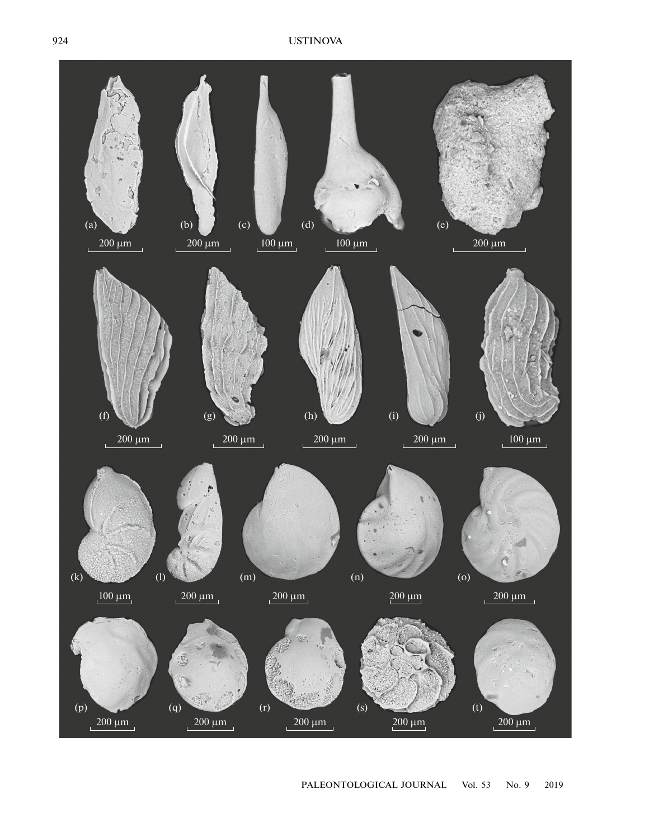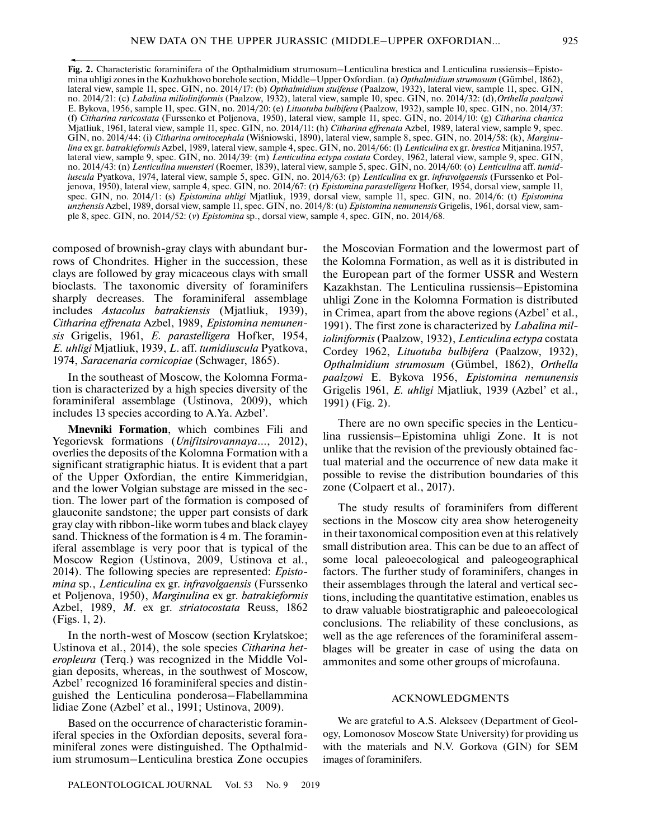**Fig. 2.** Characteristic foraminifera of the Opthalmidium strumosum–Lenticulina brestica and Lenticulina russiensis–Epistomina uhligi zones in the Kozhukhovo borehole section, Middle–Upper Oxfordian. (a) *Opthalmidium strumosum* (Gümbel, 1862), lateral view, sample 11, spec. GIN, no. 2014/17: (b) *Opthalmidium stuifense* (Paalzow, 1932), lateral view, sample 11, spec. GIN, no. 2014/21: (c) *Labalina milioliniformis* (Paalzow, 1932), lateral view, sample 10, spec. GIN, no. 2014/32: (d),*Orthella paalzowi* E. Bykova, 1956, sample 11, spec. GIN, no. 2014/20: (e) *Lituotuba bulbifera* (Paalzow, 1932), sample 10, spec. GIN, no. 2014/37: (f) *Citharina raricostata* (Furssenko et Poljenova, 1950), lateral view, sample 11, spec. GIN, no. 2014/10: (g) *Citharina chanica* Mjatliuk, 1961, lateral view, sample 11, spec. GIN, no. 2014/11: (h) *Citharina effrenata* Azbel, 1989, lateral view, sample 9, spec. GIN, no. 2014/44: (i) *Citharina ornitocephala* (Wiśniowski, 1890), lateral view, sample 8, spec. GIN, no. 2014/58: (k), *Marginulina* ex gr. *batrakieformis* Azbel, 1989, lateral view, sample 4, spec. GIN, no. 2014/66: (l) *Lenticulina* ex gr. *brestica* Mitjanina*.*1957, lateral view, sample 9, spec. GIN, no. 2014/39: (m) *Lenticulina ectypa costata* Cordey, 1962, lateral view, sample 9, spec. GIN, no. 2014/43: (n) *Lenticulina muensteri* (Roemer, 1839), lateral view, sample 5, spec. GIN, no. 2014/60: (o) *Lenticulina* aff. *tumidiuscula* Pyatkova, 1974, lateral view, sample 5, spec. GIN, no. 2014/63: (p) *Lenticulina* ex gr. *infravolgaensis* (Furssenko et Poljenova, 1950), lateral view, sample 4, spec. GIN, no. 2014/67: (r) *Epistomina parastelligera* Hofker, 1954, dorsal view, sample 11, spec. GIN, no. 2014/1: (s) *Epistomina uhligi* Mjatliuk, 1939, dorsal view, sample 11, spec. GIN, no. 2014/6: (t) *Epistomina unzhensis* Azbel, 1989, dorsal view, sample 11, spec. GIN, no. 2014/8: (u) *Epistomina nemunensis* Grigelis, 1961, dorsal view, sample 8, spec. GIN, no. 2014/52: (*v*) *Epistomina* sp., dorsal view, sample 4, spec. GIN, no. 2014/68.

composed of brownish-gray clays with abundant burrows of Chondrites. Higher in the succession, these clays are followed by gray micaceous clays with small bioclasts. The taxonomic diversity of foraminifers sharply decreases. The foraminiferal assemblage includes *Astacolus batrakiensis* (Mjatliuk, 1939), *Citharina effrenata* Azbel, 1989, *Epistomina nemunensis* Grigelis, 1961, *E. parastelligera* Hofker, 1954, *E. uhligi* Mjatliuk, 1939, *L*. aff. *tumidiuscula* Pyatkova, 1974, *Saracenaria cornicopiae* (Schwager, 1865).

In the southeast of Moscow, the Kolomna Formation is characterized by a high species diversity of the foraminiferal assemblage (Ustinova, 2009), which includes 13 species according to A.Ya. Azbel'.

**Mnevniki Formation**, which combines Fili and Yegorievsk formations (*Unifitsirovannaya*…, 2012), overlies the deposits of the Kolomna Formation with a significant stratigraphic hiatus. It is evident that a part of the Upper Oxfordian, the entire Kimmeridgian, and the lower Volgian substage are missed in the section. The lower part of the formation is composed of glauconite sandstone; the upper part consists of dark gray clay with ribbon-like worm tubes and black clayey sand. Thickness of the formation is 4 m. The foraminiferal assemblage is very poor that is typical of the Moscow Region (Ustinova, 2009, Ustinova et al., 2014). The following species are represented: *Epistomina* sp., *Lenticulina* ex gr. *infravolgaensis* (Furssenko et Poljenova, 1950), *Marginulina* ex gr. *batrakieformis* Azbel, 1989, *M*. ex gr. *striatocostata* Reuss, 1862 (Figs. 1, 2).

In the north-west of Moscow (section Krylatskoe; Ustinova et al., 2014), the sole species *Citharina heteropleura* (Terq.) was recognized in the Middle Volgian deposits, whereas, in the southwest of Moscow, Azbel' recognized 16 foraminiferal species and distinguished the Lenticulina ponderosa–Flabellammina lidiae Zone (Azbel' et al., 1991; Ustinova, 2009).

Based on the occurrence of characteristic foraminiferal species in the Oxfordian deposits, several foraminiferal zones were distinguished. The Opthalmidium strumosum–Lenticulina brestica Zone occupies the Moscovian Formation and the lowermost part of the Kolomna Formation, as well as it is distributed in the European part of the former USSR and Western Kazakhstan. The Lenticulina russiensis–Epistomina uhligi Zone in the Kolomna Formation is distributed in Crimea, apart from the above regions (Azbel' et al., 1991). The first zone is characterized by *Labalina milioliniformis* (Paalzow, 1932), *Lenticulina ectypa* costata Cordey 1962, *Lituotuba bulbifera* (Paalzow, 1932), *Opthalmidium strumosum* (Gümbel, 1862), *Orthella paalzowi* E. Bykova 1956, *Epistomina nemunensis* Grigelis 1961, *E. uhligi* Mjatliuk, 1939 (Azbel' et al., 1991) (Fig. 2).

There are no own specific species in the Lenticulina russiensis–Epistomina uhligi Zone. It is not unlike that the revision of the previously obtained factual material and the occurrence of new data make it possible to revise the distribution boundaries of this zone (Colpaert et al., 2017).

The study results of foraminifers from different sections in the Moscow city area show heterogeneity in their taxonomical composition even at this relatively small distribution area. This can be due to an affect of some local paleoecological and paleogeographical factors. The further study of foraminifers, changes in their assemblages through the lateral and vertical sections, including the quantitative estimation, enables us to draw valuable biostratigraphic and paleoecological conclusions. The reliability of these conclusions, as well as the age references of the foraminiferal assemblages will be greater in case of using the data on ammonites and some other groups of microfauna.

#### ACKNOWLEDGMENTS

We are grateful to A.S. Alekseev (Department of Geology, Lomonosov Moscow State University) for providing us with the materials and N.V. Gorkova (GIN) for SEM images of foraminifers.